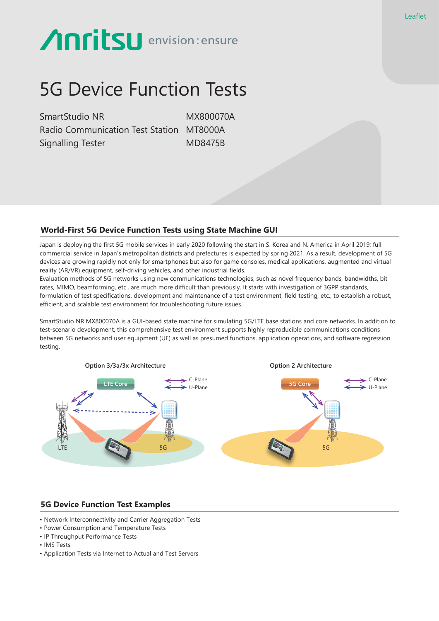# **Anritsu** envision: ensure

## 5G Device Function Tests

SmartStudio NR MX800070A Radio Communication Test Station MT8000A Signalling Tester MD8475B

### **World-First 5G Device Function Tests using State Machine GUI**

Japan is deploying the first 5G mobile services in early 2020 following the start in S. Korea and N. America in April 2019; full commercial service in Japan's metropolitan districts and prefectures is expected by spring 2021. As a result, development of 5G devices are growing rapidly not only for smartphones but also for game consoles, medical applications, augmented and virtual reality (AR/VR) equipment, self-driving vehicles, and other industrial fields.

Evaluation methods of 5G networks using new communications technologies, such as novel frequency bands, bandwidths, bit rates, MIMO, beamforming, etc., are much more difficult than previously. It starts with investigation of 3GPP standards, formulation of test specifications, development and maintenance of a test environment, field testing, etc., to establish a robust, efficient, and scalable test environment for troubleshooting future issues.

SmartStudio NR MX800070A is a GUI-based state machine for simulating 5G/LTE base stations and core networks. In addition to test-scenario development, this comprehensive test environment supports highly reproducible communications conditions between 5G networks and user equipment (UE) as well as presumed functions, application operations, and software regression testing.



#### **5G Device Function Test Examples**

- Network Interconnectivity and Carrier Aggregation Tests
- Power Consumption and Temperature Tests
- IP Throughput Performance Tests
- IMS Tests
- Application Tests via Internet to Actual and Test Servers